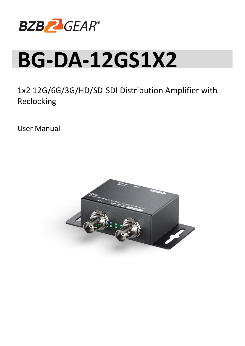

# **BG-DA-12GS1X2**

1x2 12G/6G/3G/HD/SD-SDI Distribution Amplifier with Reclocking

User Manual

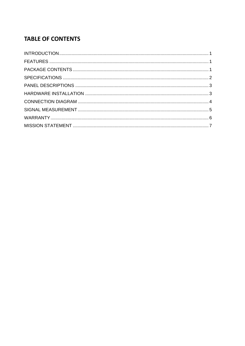# **TABLE OF CONTENTS**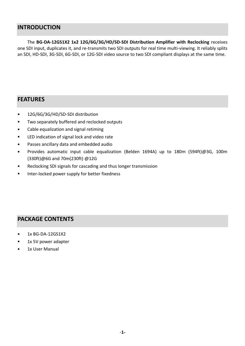#### <span id="page-2-0"></span>**INTRODUCTION**

The **BG-DA-12GS1X2 1x2 12G/6G/3G/HD/SD-SDI Distribution Amplifier with Reclocking** receives one SDI input, duplicates it, and re-transmits two SDI outputs for real time multi-viewing. It reliably splits an SDI, HD-SDI, 3G-SDI, 6G-SDI, or 12G-SDI video source to two SDI compliant displays at the same time.

#### <span id="page-2-1"></span>**FEATURES**

- 12G/6G/3G/HD/SD-SDI distribution  $\bullet$
- $\bullet$ Two separately buffered and reclocked outputs
- $\bullet$ Cable equalization and signal retiming
- $\bullet$ LED indication of signal lock and video rate
- $\bullet$ Passes ancillary data and embedded audio
- Provides automatic input cable equalization (Belden 1694A) up to 180m (594ft)@3G, 100m  $\bullet$ (330ft)@6G and 70m(230ft) @12G
- Reclocking SDI signals for cascading and thus longer transmission
- Inter-locked power supply for better fixedness

### <span id="page-2-2"></span>**PACKAGE CONTENTS**

- $\bullet$ 1x BG-DA-12GS1X2
- 1x 5V power adapter  $\bullet$
- 1x User Manual $\bullet$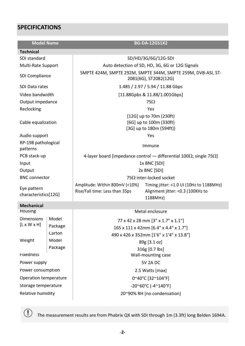# <span id="page-3-0"></span>**SPECIFICATIONS**

| <b>Model Name</b>                   |         | <b>BG-DA-12GS1X2</b>                                                                  |                                                                                            |  |  |
|-------------------------------------|---------|---------------------------------------------------------------------------------------|--------------------------------------------------------------------------------------------|--|--|
| <b>Technical</b>                    |         |                                                                                       |                                                                                            |  |  |
| SDI standard                        |         | SD/HD/3G/6G/12G-SDI                                                                   |                                                                                            |  |  |
| Multi-Rate Support                  |         | Auto detection of SD, HD, 3G, 6G or 12G Signals                                       |                                                                                            |  |  |
| <b>SDI Compliance</b>               |         | SMPTE 424M, SMPTE 292M, SMPTE 344M, SMPTE 259M, DVB-ASI, ST-<br>2081(6G), ST2082(12G) |                                                                                            |  |  |
| SDI Data rates                      |         | 1.485 / 2.97 / 5.94 / 11.88 Gbps                                                      |                                                                                            |  |  |
| Video bandwidth                     |         | [11.88Gpbs & 11.88/1.001Gbps]                                                         |                                                                                            |  |  |
| Output impedance                    |         | $75\Omega$                                                                            |                                                                                            |  |  |
| Reclocking                          |         | Yes                                                                                   |                                                                                            |  |  |
| Cable equalization                  |         | [12G] up to 70m (230ft)<br>[6G] up to 100m (330ft)<br>[3G] up to 180m (594ft))        |                                                                                            |  |  |
| Audio support                       |         | Yes                                                                                   |                                                                                            |  |  |
| RP-198 pathological<br>patterns     |         | Immune                                                                                |                                                                                            |  |  |
| PCB stack-up                        |         | 4-layer board [impedance control – differential 100 $\Omega$ ; single 75 $\Omega$ ]   |                                                                                            |  |  |
| Input                               |         | 1x BNC [SDI]                                                                          |                                                                                            |  |  |
| Output                              |         | 2x BNC [SDI]                                                                          |                                                                                            |  |  |
| <b>BNC</b> connector                |         | 75 $\Omega$ inter-locked socket                                                       |                                                                                            |  |  |
| Eye pattern<br>characteristics[12G] |         | Amplitude: Within 800mV (<10%)<br>Rise/Fall time: Less than 35ps                      | Timing jitter: <1.0 UI (10Hz to 1188MHz)<br>Alignment jitter: < 0.3 (100KHz to<br>1188MHz) |  |  |
| <b>Mechanical</b>                   |         |                                                                                       |                                                                                            |  |  |
| Housing                             |         | Metal enclosure                                                                       |                                                                                            |  |  |
| <b>Dimensions</b>                   | Model   | 77 x 42 x 28 mm [3" x 1.7" x 1.1"]                                                    |                                                                                            |  |  |
| $[L \times W \times H]$             | Package | 165 x 111 x 42mm [6.4" x 4.4" x 1.7"]                                                 |                                                                                            |  |  |
|                                     | Carton  | 490 x 426 x 352mm [1'6" x 1'4" x 13.8"]                                               |                                                                                            |  |  |
| Weight                              | Model   | 89g [3.1 oz]                                                                          |                                                                                            |  |  |
| Package<br>316g [0.7 lbs]           |         |                                                                                       |                                                                                            |  |  |
| <b>Fixedness</b>                    |         | Wall-mounting case                                                                    |                                                                                            |  |  |
| Power supply                        |         | <b>5V 2A DC</b>                                                                       |                                                                                            |  |  |
| Power consumption                   |         | 2.5 Watts [max]                                                                       |                                                                                            |  |  |
| Operation temperature               |         | 0~40°C [32~104°F]                                                                     |                                                                                            |  |  |
| Storage temperature                 |         | $-20^{\circ}60^{\circ}$ C [-4 $^{\circ}140^{\circ}$ F]                                |                                                                                            |  |  |
| Relative humidity                   |         | 20~90% RH [no condensation]                                                           |                                                                                            |  |  |

**○!** The measurement results are from Phabrix QX with SDI through 1m (3.3ft) long Belden 1694A.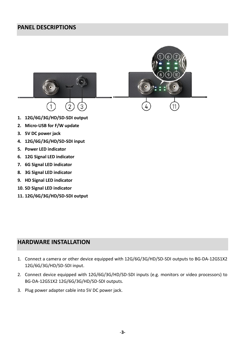## <span id="page-4-0"></span>**PANEL DESCRIPTIONS**



- **5. Power LED indicator**
- **6. 12G Signal LED indicator**
- **7. 6G Signal LED indicator**
- **8. 3G Signal LED indicator**
- **9. HD Signal LED indicator**
- **10. SD Signal LED indicator**
- **11. 12G/6G/3G/HD/SD-SDI output**

## <span id="page-4-1"></span>**HARDWARE INSTALLATION**

- 1. Connect a camera or other device equipped with 12G/6G/3G/HD/SD-SDI outputs to BG-DA-12GS1X2 12G/6G/3G/HD/SD-SDI input.
- 2. Connect device equipped with 12G/6G/3G/HD/SD-SDI inputs (e.g. monitors or video processors) to BG-DA-12GS1X2 12G/6G/3G/HD/SD-SDI outputs.
- 3. Plug power adapter cable into 5V DC power jack.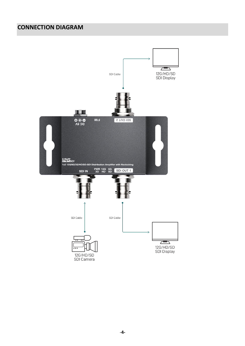# <span id="page-5-0"></span>**CONNECTION DIAGRAM**

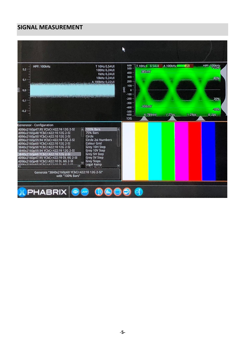## **SIGNAL MEASUREMENT**

<span id="page-6-0"></span>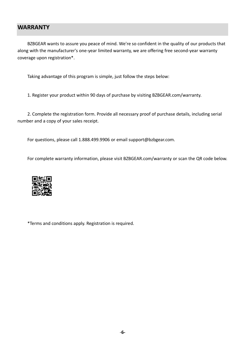#### <span id="page-7-0"></span>**WARRANTY**

BZBGEAR wants to assure you peace of mind. We're so confident in the quality of our products that along with the manufacturer's one-year limited warranty, we are offering free second-year warranty coverage upon registration\*.

Taking advantage of this program is simple, just follow the steps below:

1. Register your product within 90 days of purchase by visiting BZBGEAR.com/warranty.

2. Complete the registration form. Provide all necessary proof of purchase details, including serial number and a copy of your sales receipt.

For questions, please call 1.888.499.9906 or email support@bzbgear.com.

For complete warranty information, please visit BZBGEAR.com/warranty or scan the QR code below.



\*Terms and conditions apply. Registration is required.